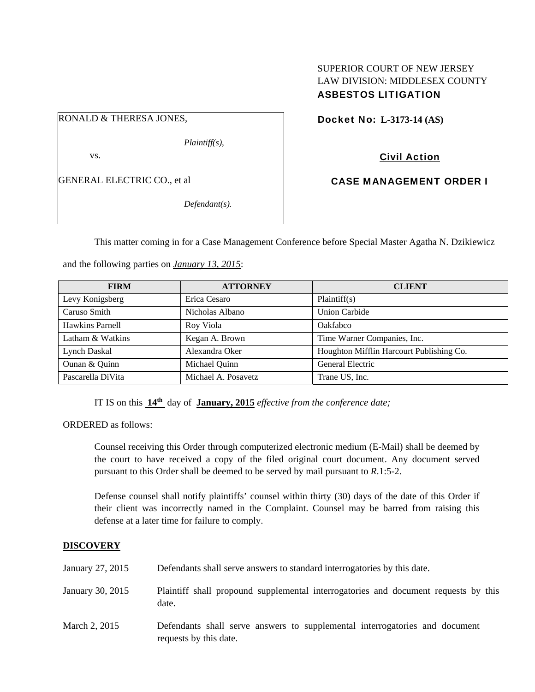# SUPERIOR COURT OF NEW JERSEY LAW DIVISION: MIDDLESEX COUNTY ASBESTOS LITIGATION

RONALD & THERESA JONES,

*Plaintiff(s),* 

vs.

GENERAL ELECTRIC CO., et al

*Defendant(s).* 

Docket No: **L-3173-14 (AS)** 

Civil Action

CASE MANAGEMENT ORDER I

This matter coming in for a Case Management Conference before Special Master Agatha N. Dzikiewicz

and the following parties on *January 13, 2015*:

| <b>FIRM</b>       | <b>ATTORNEY</b>     | <b>CLIENT</b>                            |
|-------------------|---------------------|------------------------------------------|
| Levy Konigsberg   | Erica Cesaro        | Plaintiff(s)                             |
| Caruso Smith      | Nicholas Albano     | <b>Union Carbide</b>                     |
| Hawkins Parnell   | Roy Viola           | Oakfabco                                 |
| Latham & Watkins  | Kegan A. Brown      | Time Warner Companies, Inc.              |
| Lynch Daskal      | Alexandra Oker      | Houghton Mifflin Harcourt Publishing Co. |
| Ounan & Quinn     | Michael Quinn       | General Electric                         |
| Pascarella DiVita | Michael A. Posavetz | Trane US, Inc.                           |

IT IS on this **14th** day of **January, 2015** *effective from the conference date;*

ORDERED as follows:

Counsel receiving this Order through computerized electronic medium (E-Mail) shall be deemed by the court to have received a copy of the filed original court document. Any document served pursuant to this Order shall be deemed to be served by mail pursuant to *R*.1:5-2.

Defense counsel shall notify plaintiffs' counsel within thirty (30) days of the date of this Order if their client was incorrectly named in the Complaint. Counsel may be barred from raising this defense at a later time for failure to comply.

## **DISCOVERY**

| January 27, 2015 | Defendants shall serve answers to standard interrogatories by this date.                              |
|------------------|-------------------------------------------------------------------------------------------------------|
| January 30, 2015 | Plaintiff shall propound supplemental interrogatories and document requests by this<br>date.          |
| March 2, 2015    | Defendants shall serve answers to supplemental interrogatories and document<br>requests by this date. |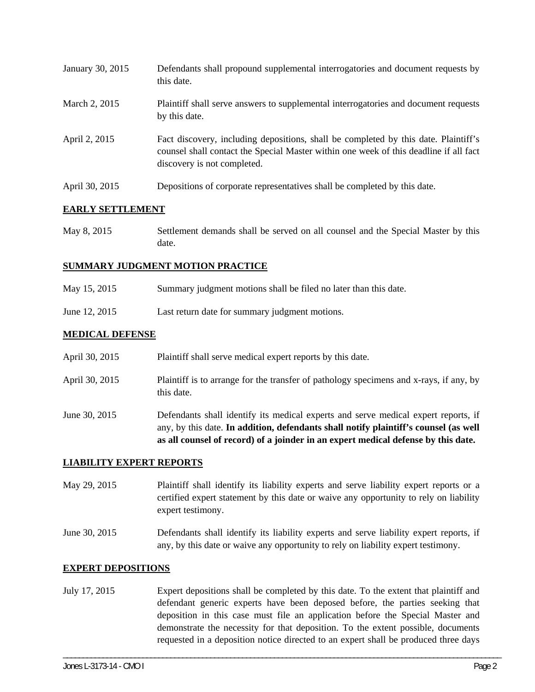| January 30, 2015 | Defendants shall propound supplemental interrogatories and document requests by<br>this date.                                                                                                               |
|------------------|-------------------------------------------------------------------------------------------------------------------------------------------------------------------------------------------------------------|
| March 2, 2015    | Plaintiff shall serve answers to supplemental interrogatories and document requests<br>by this date.                                                                                                        |
| April 2, 2015    | Fact discovery, including depositions, shall be completed by this date. Plaintiff's<br>counsel shall contact the Special Master within one week of this deadline if all fact<br>discovery is not completed. |
| April 30, 2015   | Depositions of corporate representatives shall be completed by this date.                                                                                                                                   |

# **EARLY SETTLEMENT**

May 8, 2015 Settlement demands shall be served on all counsel and the Special Master by this date.

## **SUMMARY JUDGMENT MOTION PRACTICE**

- May 15, 2015 Summary judgment motions shall be filed no later than this date.
- June 12, 2015 Last return date for summary judgment motions.

## **MEDICAL DEFENSE**

| June 30, 2015  | Defendants shall identify its medical experts and serve medical expert reports, if<br>any, by this date. In addition, defendants shall notify plaintiff's counsel (as well<br>as all counsel of record) of a joinder in an expert medical defense by this date. |
|----------------|-----------------------------------------------------------------------------------------------------------------------------------------------------------------------------------------------------------------------------------------------------------------|
| April 30, 2015 | Plaintiff is to arrange for the transfer of pathology specimens and x-rays, if any, by<br>this date.                                                                                                                                                            |
| April 30, 2015 | Plaintiff shall serve medical expert reports by this date.                                                                                                                                                                                                      |

## **LIABILITY EXPERT REPORTS**

- May 29, 2015 Plaintiff shall identify its liability experts and serve liability expert reports or a certified expert statement by this date or waive any opportunity to rely on liability expert testimony.
- June 30, 2015 Defendants shall identify its liability experts and serve liability expert reports, if any, by this date or waive any opportunity to rely on liability expert testimony.

#### **EXPERT DEPOSITIONS**

July 17, 2015 Expert depositions shall be completed by this date. To the extent that plaintiff and defendant generic experts have been deposed before, the parties seeking that deposition in this case must file an application before the Special Master and demonstrate the necessity for that deposition. To the extent possible, documents requested in a deposition notice directed to an expert shall be produced three days

\_\_\_\_\_\_\_\_\_\_\_\_\_\_\_\_\_\_\_\_\_\_\_\_\_\_\_\_\_\_\_\_\_\_\_\_\_\_\_\_\_\_\_\_\_\_\_\_\_\_\_\_\_\_\_\_\_\_\_\_\_\_\_\_\_\_\_\_\_\_\_\_\_\_\_\_\_\_\_\_\_\_\_\_\_\_\_\_\_\_\_\_\_\_\_\_\_\_\_\_\_\_\_\_\_\_\_\_\_\_